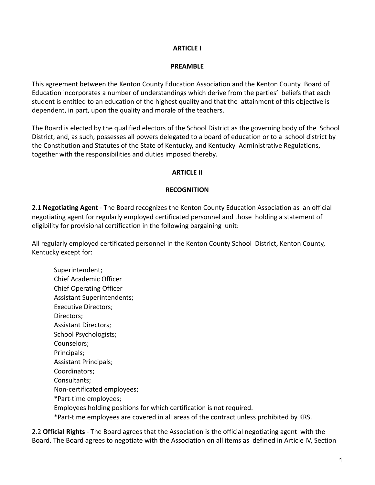### **ARTICLE I**

#### **PREAMBLE**

This agreement between the Kenton County Education Association and the Kenton County Board of Education incorporates a number of understandings which derive from the parties' beliefs that each student is entitled to an education of the highest quality and that the attainment of this objective is dependent, in part, upon the quality and morale of the teachers.

The Board is elected by the qualified electors of the School District as the governing body of the School District, and, as such, possesses all powers delegated to a board of education or to a school district by the Constitution and Statutes of the State of Kentucky, and Kentucky Administrative Regulations, together with the responsibilities and duties imposed thereby.

#### **ARTICLE II**

#### **RECOGNITION**

2.1 **Negotiating Agent** - The Board recognizes the Kenton County Education Association as an official negotiating agent for regularly employed certificated personnel and those holding a statement of eligibility for provisional certification in the following bargaining unit:

All regularly employed certificated personnel in the Kenton County School District, Kenton County, Kentucky except for:

Superintendent; Chief Academic Officer Chief Operating Officer Assistant Superintendents; Executive Directors; Directors; Assistant Directors; School Psychologists; Counselors; Principals; Assistant Principals; Coordinators; Consultants; Non-certificated employees; \*Part-time employees; Employees holding positions for which certification is not required. \*Part-time employees are covered in all areas of the contract unless prohibited by KRS.

2.2 **Official Rights** - The Board agrees that the Association is the official negotiating agent with the Board. The Board agrees to negotiate with the Association on all items as defined in Article IV, Section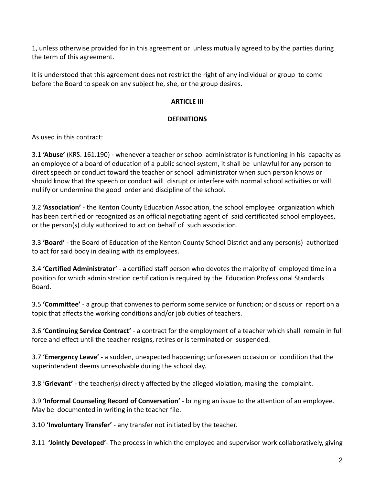1, unless otherwise provided for in this agreement or unless mutually agreed to by the parties during the term of this agreement.

It is understood that this agreement does not restrict the right of any individual or group to come before the Board to speak on any subject he, she, or the group desires.

# **ARTICLE III**

# **DEFINITIONS**

As used in this contract:

3.1 **'Abuse'** (KRS. 161.190) - whenever a teacher or school administrator is functioning in his capacity as an employee of a board of education of a public school system, it shall be unlawful for any person to direct speech or conduct toward the teacher or school administrator when such person knows or should know that the speech or conduct will disrupt or interfere with normal school activities or will nullify or undermine the good order and discipline of the school.

3.2 **'Association'** - the Kenton County Education Association, the school employee organization which has been certified or recognized as an official negotiating agent of said certificated school employees, or the person(s) duly authorized to act on behalf of such association.

3.3 **'Board'** - the Board of Education of the Kenton County School District and any person(s) authorized to act for said body in dealing with its employees.

3.4 **'Certified Administrator'** - a certified staff person who devotes the majority of employed time in a position for which administration certification is required by the Education Professional Standards Board.

3.5 **'Committee'** - a group that convenes to perform some service or function; or discuss or report on a topic that affects the working conditions and/or job duties of teachers.

3.6 **'Continuing Service Contract'** - a contract for the employment of a teacher which shall remain in full force and effect until the teacher resigns, retires or is terminated or suspended.

3.7 '**Emergency Leave' -** a sudden, unexpected happening; unforeseen occasion or condition that the superintendent deems unresolvable during the school day.

3.8 '**Grievant'** - the teacher(s) directly affected by the alleged violation, making the complaint.

3.9 **'Informal Counseling Record of Conversation'** - bringing an issue to the attention of an employee. May be documented in writing in the teacher file.

3.10 **'Involuntary Transfer'** - any transfer not initiated by the teacher.

3.11 **'Jointly Developed'**- The process in which the employee and supervisor work collaboratively, giving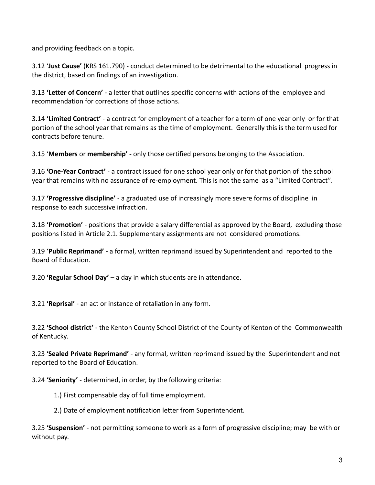and providing feedback on a topic.

3.12 '**Just Cause'** (KRS 161.790) - conduct determined to be detrimental to the educational progress in the district, based on findings of an investigation.

3.13 **'Letter of Concern'** - a letter that outlines specific concerns with actions of the employee and recommendation for corrections of those actions.

3.14 **'Limited Contract'** - a contract for employment of a teacher for a term of one year only or for that portion of the school year that remains as the time of employment. Generally this is the term used for contracts before tenure.

3.15 '**Members** or **membership' -** only those certified persons belonging to the Association.

3.16 **'One-Year Contract'** - a contract issued for one school year only or for that portion of the school year that remains with no assurance of re-employment. This is not the same as a "Limited Contract".

3.17 **'Progressive discipline'** - a graduated use of increasingly more severe forms of discipline in response to each successive infraction.

3.18 **'Promotion'** - positions that provide a salary differential as approved by the Board, excluding those positions listed in Article 2.1. Supplementary assignments are not considered promotions.

3.19 '**Public Reprimand' -** a formal, written reprimand issued by Superintendent and reported to the Board of Education.

3.20 **'Regular School Day'** – a day in which students are in attendance.

3.21 **'Reprisal'** - an act or instance of retaliation in any form.

3.22 **'School district'** - the Kenton County School District of the County of Kenton of the Commonwealth of Kentucky.

3.23 **'Sealed Private Reprimand'** - any formal, written reprimand issued by the Superintendent and not reported to the Board of Education.

3.24 **'Seniority'** - determined, in order, by the following criteria:

1.) First compensable day of full time employment.

2.) Date of employment notification letter from Superintendent.

3.25 **'Suspension'** - not permitting someone to work as a form of progressive discipline; may be with or without pay.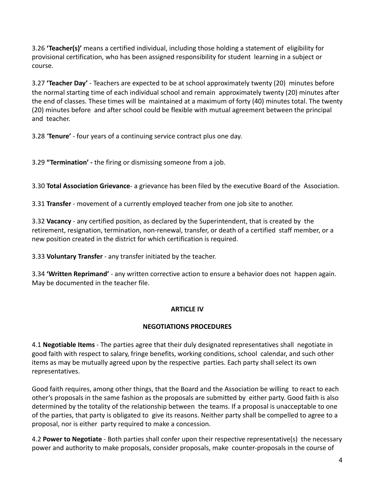3.26 **'Teacher(s)'** means a certified individual, including those holding a statement of eligibility for provisional certification, who has been assigned responsibility for student learning in a subject or course.

3.27 **'Teacher Day'** - Teachers are expected to be at school approximately twenty (20) minutes before the normal starting time of each individual school and remain approximately twenty (20) minutes after the end of classes. These times will be maintained at a maximum of forty (40) minutes total. The twenty (20) minutes before and after school could be flexible with mutual agreement between the principal and teacher.

3.28 '**Tenure'** - four years of a continuing service contract plus one day.

3.29 **"Termination' -** the firing or dismissing someone from a job.

3.30 **Total Association Grievance**- a grievance has been filed by the executive Board of the Association.

3.31 **Transfer** - movement of a currently employed teacher from one job site to another.

3.32 **Vacancy** - any certified position, as declared by the Superintendent, that is created by the retirement, resignation, termination, non-renewal, transfer, or death of a certified staff member, or a new position created in the district for which certification is required.

3.33 **Voluntary Transfer** - any transfer initiated by the teacher.

3.34 **'Written Reprimand'** - any written corrective action to ensure a behavior does not happen again. May be documented in the teacher file.

# **ARTICLE IV**

# **NEGOTIATIONS PROCEDURES**

4.1 **Negotiable Items** - The parties agree that their duly designated representatives shall negotiate in good faith with respect to salary, fringe benefits, working conditions, school calendar, and such other items as may be mutually agreed upon by the respective parties. Each party shall select its own representatives.

Good faith requires, among other things, that the Board and the Association be willing to react to each other's proposals in the same fashion as the proposals are submitted by either party. Good faith is also determined by the totality of the relationship between the teams. If a proposal is unacceptable to one of the parties, that party is obligated to give its reasons. Neither party shall be compelled to agree to a proposal, nor is either party required to make a concession.

4.2 **Power to Negotiate** - Both parties shall confer upon their respective representative(s) the necessary power and authority to make proposals, consider proposals, make counter-proposals in the course of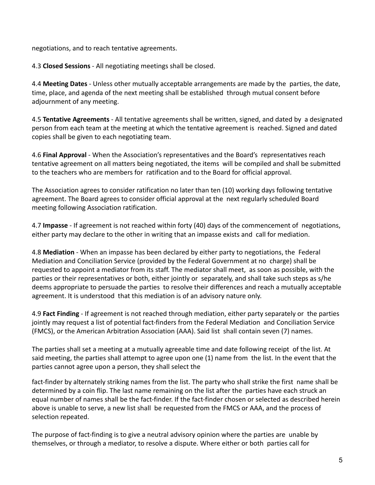negotiations, and to reach tentative agreements.

4.3 **Closed Sessions** - All negotiating meetings shall be closed.

4.4 **Meeting Dates** - Unless other mutually acceptable arrangements are made by the parties, the date, time, place, and agenda of the next meeting shall be established through mutual consent before adjournment of any meeting.

4.5 **Tentative Agreements** - All tentative agreements shall be written, signed, and dated by a designated person from each team at the meeting at which the tentative agreement is reached. Signed and dated copies shall be given to each negotiating team.

4.6 **Final Approval** - When the Association's representatives and the Board's representatives reach tentative agreement on all matters being negotiated, the items will be compiled and shall be submitted to the teachers who are members for ratification and to the Board for official approval.

The Association agrees to consider ratification no later than ten (10) working days following tentative agreement. The Board agrees to consider official approval at the next regularly scheduled Board meeting following Association ratification.

4.7 **Impasse** - If agreement is not reached within forty (40) days of the commencement of negotiations, either party may declare to the other in writing that an impasse exists and call for mediation.

4.8 **Mediation** - When an impasse has been declared by either party to negotiations, the Federal Mediation and Conciliation Service (provided by the Federal Government at no charge) shall be requested to appoint a mediator from its staff. The mediator shall meet, as soon as possible, with the parties or their representatives or both, either jointly or separately, and shall take such steps as s/he deems appropriate to persuade the parties to resolve their differences and reach a mutually acceptable agreement. It is understood that this mediation is of an advisory nature only.

4.9 **Fact Finding** - If agreement is not reached through mediation, either party separately or the parties jointly may request a list of potential fact-finders from the Federal Mediation and Conciliation Service (FMCS), or the American Arbitration Association (AAA). Said list shall contain seven (7) names.

The parties shall set a meeting at a mutually agreeable time and date following receipt of the list. At said meeting, the parties shall attempt to agree upon one (1) name from the list. In the event that the parties cannot agree upon a person, they shall select the

fact-finder by alternately striking names from the list. The party who shall strike the first name shall be determined by a coin flip. The last name remaining on the list after the parties have each struck an equal number of names shall be the fact-finder. If the fact-finder chosen or selected as described herein above is unable to serve, a new list shall be requested from the FMCS or AAA, and the process of selection repeated.

The purpose of fact-finding is to give a neutral advisory opinion where the parties are unable by themselves, or through a mediator, to resolve a dispute. Where either or both parties call for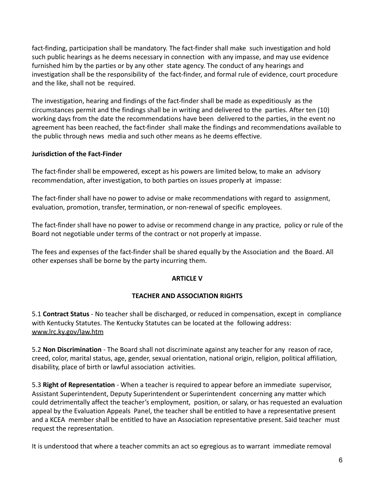fact-finding, participation shall be mandatory. The fact-finder shall make such investigation and hold such public hearings as he deems necessary in connection with any impasse, and may use evidence furnished him by the parties or by any other state agency. The conduct of any hearings and investigation shall be the responsibility of the fact-finder, and formal rule of evidence, court procedure and the like, shall not be required.

The investigation, hearing and findings of the fact-finder shall be made as expeditiously as the circumstances permit and the findings shall be in writing and delivered to the parties. After ten (10) working days from the date the recommendations have been delivered to the parties, in the event no agreement has been reached, the fact-finder shall make the findings and recommendations available to the public through news media and such other means as he deems effective.

# **Jurisdiction of the Fact-Finder**

The fact-finder shall be empowered, except as his powers are limited below, to make an advisory recommendation, after investigation, to both parties on issues properly at impasse:

The fact-finder shall have no power to advise or make recommendations with regard to assignment, evaluation, promotion, transfer, termination, or non-renewal of specific employees.

The fact-finder shall have no power to advise or recommend change in any practice, policy or rule of the Board not negotiable under terms of the contract or not properly at impasse.

The fees and expenses of the fact-finder shall be shared equally by the Association and the Board. All other expenses shall be borne by the party incurring them.

# **ARTICLE V**

# **TEACHER AND ASSOCIATION RIGHTS**

5.1 **Contract Status** - No teacher shall be discharged, or reduced in compensation, except in compliance with Kentucky Statutes. The Kentucky Statutes can be located at the following address: www.lrc.ky.gov/law.htm

5.2 **Non Discrimination** - The Board shall not discriminate against any teacher for any reason of race, creed, color, marital status, age, gender, sexual orientation, national origin, religion, political affiliation, disability, place of birth or lawful association activities.

5.3 **Right of Representation** - When a teacher is required to appear before an immediate supervisor, Assistant Superintendent, Deputy Superintendent or Superintendent concerning any matter which could detrimentally affect the teacher's employment, position, or salary, or has requested an evaluation appeal by the Evaluation Appeals Panel, the teacher shall be entitled to have a representative present and a KCEA member shall be entitled to have an Association representative present. Said teacher must request the representation.

It is understood that where a teacher commits an act so egregious as to warrant immediate removal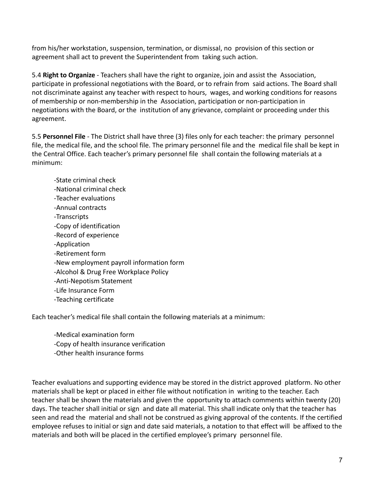from his/her workstation, suspension, termination, or dismissal, no provision of this section or agreement shall act to prevent the Superintendent from taking such action.

5.4 **Right to Organize** - Teachers shall have the right to organize, join and assist the Association, participate in professional negotiations with the Board, or to refrain from said actions. The Board shall not discriminate against any teacher with respect to hours, wages, and working conditions for reasons of membership or non-membership in the Association, participation or non-participation in negotiations with the Board, or the institution of any grievance, complaint or proceeding under this agreement.

5.5 **Personnel File** - The District shall have three (3) files only for each teacher: the primary personnel file, the medical file, and the school file. The primary personnel file and the medical file shall be kept in the Central Office. Each teacher's primary personnel file shall contain the following materials at a minimum:

-State criminal check -National criminal check -Teacher evaluations -Annual contracts -Transcripts -Copy of identification -Record of experience -Application -Retirement form -New employment payroll information form -Alcohol & Drug Free Workplace Policy -Anti-Nepotism Statement -Life Insurance Form -Teaching certificate

Each teacher's medical file shall contain the following materials at a minimum:

- -Medical examination form
- -Copy of health insurance verification
- -Other health insurance forms

Teacher evaluations and supporting evidence may be stored in the district approved platform. No other materials shall be kept or placed in either file without notification in writing to the teacher. Each teacher shall be shown the materials and given the opportunity to attach comments within twenty (20) days. The teacher shall initial or sign and date all material. This shall indicate only that the teacher has seen and read the material and shall not be construed as giving approval of the contents. If the certified employee refuses to initial or sign and date said materials, a notation to that effect will be affixed to the materials and both will be placed in the certified employee's primary personnel file.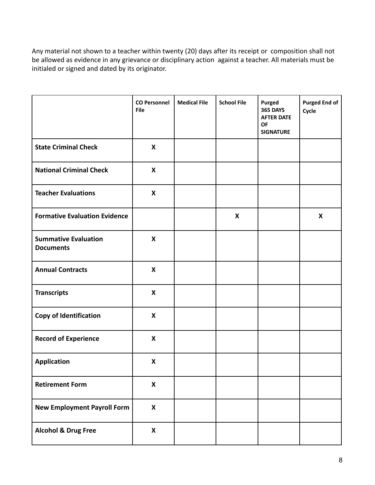Any material not shown to a teacher within twenty (20) days after its receipt or composition shall not be allowed as evidence in any grievance or disciplinary action against a teacher. All materials must be initialed or signed and dated by its originator.

|                                                 | <b>CO Personnel</b><br><b>File</b> | <b>Medical File</b> | <b>School File</b> | Purged<br><b>365 DAYS</b><br><b>AFTER DATE</b><br><b>OF</b><br><b>SIGNATURE</b> | <b>Purged End of</b><br>Cycle |
|-------------------------------------------------|------------------------------------|---------------------|--------------------|---------------------------------------------------------------------------------|-------------------------------|
| <b>State Criminal Check</b>                     | X                                  |                     |                    |                                                                                 |                               |
| <b>National Criminal Check</b>                  | X                                  |                     |                    |                                                                                 |                               |
| <b>Teacher Evaluations</b>                      | X                                  |                     |                    |                                                                                 |                               |
| <b>Formative Evaluation Evidence</b>            |                                    |                     | X                  |                                                                                 | X                             |
| <b>Summative Evaluation</b><br><b>Documents</b> | X                                  |                     |                    |                                                                                 |                               |
| <b>Annual Contracts</b>                         | X                                  |                     |                    |                                                                                 |                               |
| <b>Transcripts</b>                              | X                                  |                     |                    |                                                                                 |                               |
| <b>Copy of Identification</b>                   | X                                  |                     |                    |                                                                                 |                               |
| <b>Record of Experience</b>                     | X                                  |                     |                    |                                                                                 |                               |
| <b>Application</b>                              | X                                  |                     |                    |                                                                                 |                               |
| <b>Retirement Form</b>                          | $\pmb{\mathsf{X}}$                 |                     |                    |                                                                                 |                               |
| <b>New Employment Payroll Form</b>              | $\boldsymbol{\mathsf{X}}$          |                     |                    |                                                                                 |                               |
| <b>Alcohol &amp; Drug Free</b>                  | $\boldsymbol{\mathsf{X}}$          |                     |                    |                                                                                 |                               |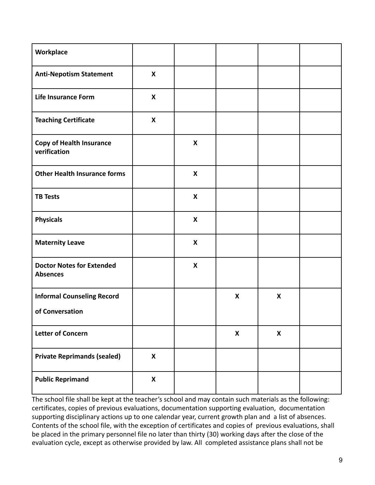| Workplace                                            |                           |                           |   |                           |  |
|------------------------------------------------------|---------------------------|---------------------------|---|---------------------------|--|
| <b>Anti-Nepotism Statement</b>                       | X                         |                           |   |                           |  |
| <b>Life Insurance Form</b>                           | $\boldsymbol{\mathsf{x}}$ |                           |   |                           |  |
| <b>Teaching Certificate</b>                          | X                         |                           |   |                           |  |
| <b>Copy of Health Insurance</b><br>verification      |                           | X                         |   |                           |  |
| <b>Other Health Insurance forms</b>                  |                           | $\boldsymbol{\mathsf{X}}$ |   |                           |  |
| <b>TB Tests</b>                                      |                           | $\pmb{\mathsf{X}}$        |   |                           |  |
| <b>Physicals</b>                                     |                           | X                         |   |                           |  |
| <b>Maternity Leave</b>                               |                           | X                         |   |                           |  |
| <b>Doctor Notes for Extended</b><br><b>Absences</b>  |                           | $\pmb{\mathsf{X}}$        |   |                           |  |
| <b>Informal Counseling Record</b><br>of Conversation |                           |                           | X | $\boldsymbol{\mathsf{X}}$ |  |
|                                                      |                           |                           |   |                           |  |
| <b>Letter of Concern</b>                             |                           |                           | X | X                         |  |
| <b>Private Reprimands (sealed)</b>                   | $\mathbf{x}$              |                           |   |                           |  |
| <b>Public Reprimand</b>                              | $\boldsymbol{\mathsf{X}}$ |                           |   |                           |  |

The school file shall be kept at the teacher's school and may contain such materials as the following: certificates, copies of previous evaluations, documentation supporting evaluation, documentation supporting disciplinary actions up to one calendar year, current growth plan and a list of absences. Contents of the school file, with the exception of certificates and copies of previous evaluations, shall be placed in the primary personnel file no later than thirty (30) working days after the close of the evaluation cycle, except as otherwise provided by law. All completed assistance plans shall not be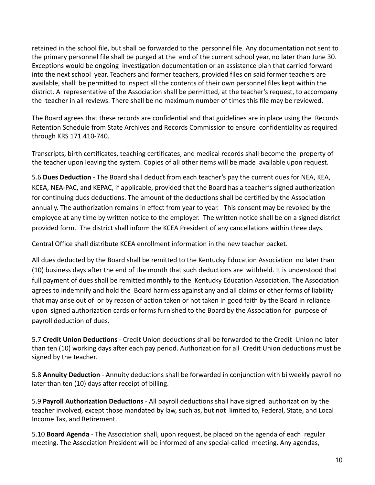retained in the school file, but shall be forwarded to the personnel file. Any documentation not sent to the primary personnel file shall be purged at the end of the current school year, no later than June 30. Exceptions would be ongoing investigation documentation or an assistance plan that carried forward into the next school year. Teachers and former teachers, provided files on said former teachers are available, shall be permitted to inspect all the contents of their own personnel files kept within the district. A representative of the Association shall be permitted, at the teacher's request, to accompany the teacher in all reviews. There shall be no maximum number of times this file may be reviewed.

The Board agrees that these records are confidential and that guidelines are in place using the Records Retention Schedule from State Archives and Records Commission to ensure confidentiality as required through KRS 171.410-740.

Transcripts, birth certificates, teaching certificates, and medical records shall become the property of the teacher upon leaving the system. Copies of all other items will be made available upon request.

5.6 **Dues Deduction** - The Board shall deduct from each teacher's pay the current dues for NEA, KEA, KCEA, NEA-PAC, and KEPAC, if applicable, provided that the Board has a teacher's signed authorization for continuing dues deductions. The amount of the deductions shall be certified by the Association annually. The authorization remains in effect from year to year. This consent may be revoked by the employee at any time by written notice to the employer. The written notice shall be on a signed district provided form. The district shall inform the KCEA President of any cancellations within three days.

Central Office shall distribute KCEA enrollment information in the new teacher packet.

All dues deducted by the Board shall be remitted to the Kentucky Education Association no later than (10) business days after the end of the month that such deductions are withheld. It is understood that full payment of dues shall be remitted monthly to the Kentucky Education Association. The Association agrees to indemnify and hold the Board harmless against any and all claims or other forms of liability that may arise out of or by reason of action taken or not taken in good faith by the Board in reliance upon signed authorization cards or forms furnished to the Board by the Association for purpose of payroll deduction of dues.

5.7 **Credit Union Deductions** - Credit Union deductions shall be forwarded to the Credit Union no later than ten (10) working days after each pay period. Authorization for all Credit Union deductions must be signed by the teacher.

5.8 **Annuity Deduction** - Annuity deductions shall be forwarded in conjunction with bi weekly payroll no later than ten (10) days after receipt of billing.

5.9 **Payroll Authorization Deductions** - All payroll deductions shall have signed authorization by the teacher involved, except those mandated by law, such as, but not limited to, Federal, State, and Local Income Tax, and Retirement.

5.10 **Board Agenda** - The Association shall, upon request, be placed on the agenda of each regular meeting. The Association President will be informed of any special-called meeting. Any agendas,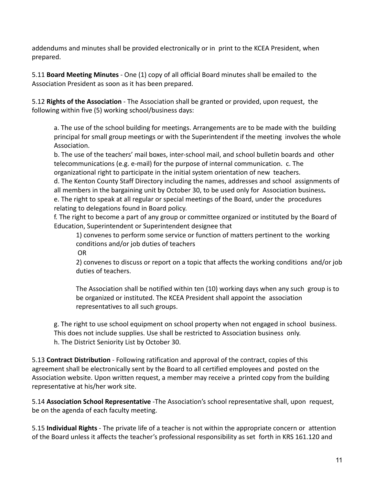addendums and minutes shall be provided electronically or in print to the KCEA President, when prepared.

5.11 **Board Meeting Minutes** - One (1) copy of all official Board minutes shall be emailed to the Association President as soon as it has been prepared.

5.12 **Rights of the Association** - The Association shall be granted or provided, upon request, the following within five (5) working school/business days:

a. The use of the school building for meetings. Arrangements are to be made with the building principal for small group meetings or with the Superintendent if the meeting involves the whole Association.

b. The use of the teachers' mail boxes, inter-school mail, and school bulletin boards and other telecommunications (e.g. e-mail) for the purpose of internal communication. c. The organizational right to participate in the initial system orientation of new teachers.

d. The Kenton County Staff Directory including the names, addresses and school assignments of all members in the bargaining unit by October 30, to be used only for Association business**.** e. The right to speak at all regular or special meetings of the Board, under the procedures relating to delegations found in Board policy.

f. The right to become a part of any group or committee organized or instituted by the Board of Education, Superintendent or Superintendent designee that

1) convenes to perform some service or function of matters pertinent to the working conditions and/or job duties of teachers

OR

2) convenes to discuss or report on a topic that affects the working conditions and/or job duties of teachers.

The Association shall be notified within ten (10) working days when any such group is to be organized or instituted. The KCEA President shall appoint the association representatives to all such groups.

g. The right to use school equipment on school property when not engaged in school business. This does not include supplies. Use shall be restricted to Association business only. h. The District Seniority List by October 30.

5.13 **Contract Distribution** - Following ratification and approval of the contract, copies of this agreement shall be electronically sent by the Board to all certified employees and posted on the Association website. Upon written request, a member may receive a printed copy from the building representative at his/her work site.

5.14 **Association School Representative** -The Association's school representative shall, upon request, be on the agenda of each faculty meeting.

5.15 **Individual Rights** - The private life of a teacher is not within the appropriate concern or attention of the Board unless it affects the teacher's professional responsibility as set forth in KRS 161.120 and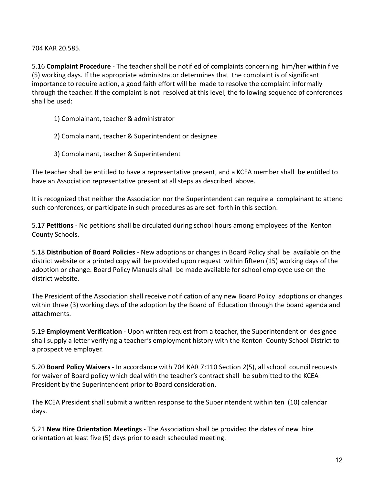704 KAR 20.585.

5.16 **Complaint Procedure** - The teacher shall be notified of complaints concerning him/her within five (5) working days. If the appropriate administrator determines that the complaint is of significant importance to require action, a good faith effort will be made to resolve the complaint informally through the teacher. If the complaint is not resolved at this level, the following sequence of conferences shall be used:

- 1) Complainant, teacher & administrator
- 2) Complainant, teacher & Superintendent or designee
- 3) Complainant, teacher & Superintendent

The teacher shall be entitled to have a representative present, and a KCEA member shall be entitled to have an Association representative present at all steps as described above.

It is recognized that neither the Association nor the Superintendent can require a complainant to attend such conferences, or participate in such procedures as are set forth in this section.

5.17 **Petitions** - No petitions shall be circulated during school hours among employees of the Kenton County Schools.

5.18 **Distribution of Board Policies** - New adoptions or changes in Board Policy shall be available on the district website or a printed copy will be provided upon request within fifteen (15) working days of the adoption or change. Board Policy Manuals shall be made available for school employee use on the district website.

The President of the Association shall receive notification of any new Board Policy adoptions or changes within three (3) working days of the adoption by the Board of Education through the board agenda and attachments.

5.19 **Employment Verification** - Upon written request from a teacher, the Superintendent or designee shall supply a letter verifying a teacher's employment history with the Kenton County School District to a prospective employer.

5.20 **Board Policy Waivers** - In accordance with 704 KAR 7:110 Section 2(5), all school council requests for waiver of Board policy which deal with the teacher's contract shall be submitted to the KCEA President by the Superintendent prior to Board consideration.

The KCEA President shall submit a written response to the Superintendent within ten (10) calendar days.

5.21 **New Hire Orientation Meetings** - The Association shall be provided the dates of new hire orientation at least five (5) days prior to each scheduled meeting.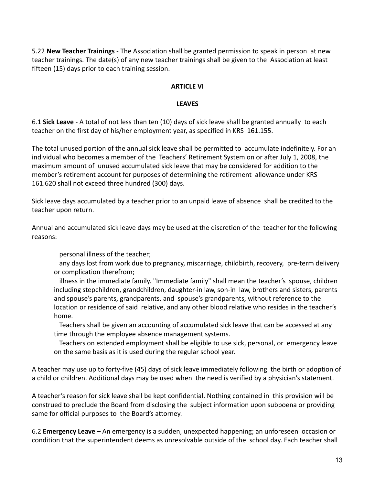5.22 **New Teacher Trainings** - The Association shall be granted permission to speak in person at new teacher trainings. The date(s) of any new teacher trainings shall be given to the Association at least fifteen (15) days prior to each training session.

#### **ARTICLE VI**

#### **LEAVES**

6.1 **Sick Leave** - A total of not less than ten (10) days of sick leave shall be granted annually to each teacher on the first day of his/her employment year, as specified in KRS 161.155.

The total unused portion of the annual sick leave shall be permitted to accumulate indefinitely. For an individual who becomes a member of the Teachers' Retirement System on or after July 1, 2008, the maximum amount of unused accumulated sick leave that may be considered for addition to the member's retirement account for purposes of determining the retirement allowance under KRS 161.620 shall not exceed three hundred (300) days.

Sick leave days accumulated by a teacher prior to an unpaid leave of absence shall be credited to the teacher upon return.

Annual and accumulated sick leave days may be used at the discretion of the teacher for the following reasons:

personal illness of the teacher;

 any days lost from work due to pregnancy, miscarriage, childbirth, recovery, pre-term delivery or complication therefrom;

 illness in the immediate family. "Immediate family" shall mean the teacher's spouse, children including stepchildren, grandchildren, daughter-in law, son-in law, brothers and sisters, parents and spouse's parents, grandparents, and spouse's grandparents, without reference to the location or residence of said relative, and any other blood relative who resides in the teacher's home.

 Teachers shall be given an accounting of accumulated sick leave that can be accessed at any time through the employee absence management systems.

 Teachers on extended employment shall be eligible to use sick, personal, or emergency leave on the same basis as it is used during the regular school year.

A teacher may use up to forty-five (45) days of sick leave immediately following the birth or adoption of a child or children. Additional days may be used when the need is verified by a physician's statement.

A teacher's reason for sick leave shall be kept confidential. Nothing contained in this provision will be construed to preclude the Board from disclosing the subject information upon subpoena or providing same for official purposes to the Board's attorney.

6.2 **Emergency Leave** – An emergency is a sudden, unexpected happening; an unforeseen occasion or condition that the superintendent deems as unresolvable outside of the school day. Each teacher shall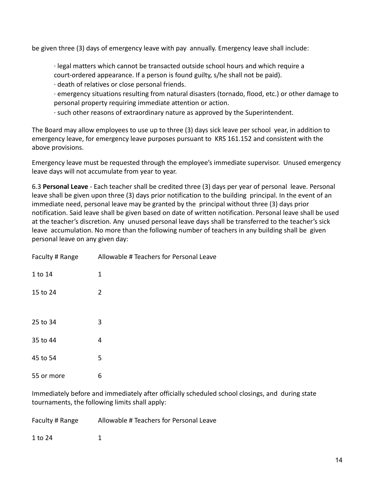be given three (3) days of emergency leave with pay annually. Emergency leave shall include:

∙ legal matters which cannot be transacted outside school hours and which require a court-ordered appearance. If a person is found guilty, s/he shall not be paid).

- ∙ death of relatives or close personal friends.
- ∙ emergency situations resulting from natural disasters (tornado, flood, etc.) or other damage to personal property requiring immediate attention or action.
- ∙ such other reasons of extraordinary nature as approved by the Superintendent.

The Board may allow employees to use up to three (3) days sick leave per school year, in addition to emergency leave, for emergency leave purposes pursuant to KRS 161.152 and consistent with the above provisions.

Emergency leave must be requested through the employee's immediate supervisor. Unused emergency leave days will not accumulate from year to year.

6.3 **Personal Leave** - Each teacher shall be credited three (3) days per year of personal leave. Personal leave shall be given upon three (3) days prior notification to the building principal. In the event of an immediate need, personal leave may be granted by the principal without three (3) days prior notification. Said leave shall be given based on date of written notification. Personal leave shall be used at the teacher's discretion. Any unused personal leave days shall be transferred to the teacher's sick leave accumulation. No more than the following number of teachers in any building shall be given personal leave on any given day:

| Faculty # Range | Allowable # Teachers for Personal Leave |
|-----------------|-----------------------------------------|
| 1 to 14         | 1                                       |
| 15 to 24        | 2                                       |
|                 |                                         |
| 25 to 34        | 3                                       |
| 35 to 44        | 4                                       |
| 45 to 54        | 5                                       |
| 55 or more      | 6                                       |

Immediately before and immediately after officially scheduled school closings, and during state tournaments, the following limits shall apply:

Faculty # Range Allowable # Teachers for Personal Leave

1 to 24 1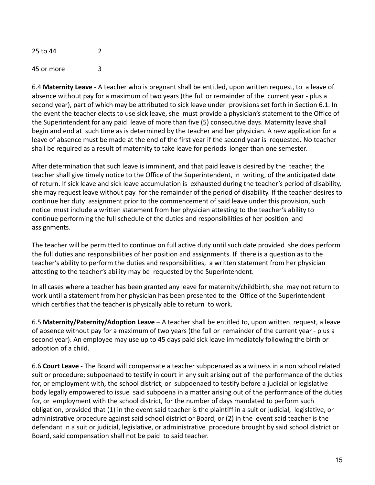25 to 44 2 45 or more 3

6.4 **Maternity Leave** - A teacher who is pregnant shall be entitled, upon written request, to a leave of absence without pay for a maximum of two years (the full or remainder of the current year - plus a second year), part of which may be attributed to sick leave under provisions set forth in Section 6.1. In the event the teacher elects to use sick leave, she must provide a physician's statement to the Office of the Superintendent for any paid leave of more than five (5) consecutive days. Maternity leave shall begin and end at such time as is determined by the teacher and her physician. A new application for a leave of absence must be made at the end of the first year if the second year is requested**.** No teacher shall be required as a result of maternity to take leave for periods longer than one semester.

After determination that such leave is imminent, and that paid leave is desired by the teacher, the teacher shall give timely notice to the Office of the Superintendent, in writing, of the anticipated date of return. If sick leave and sick leave accumulation is exhausted during the teacher's period of disability, she may request leave without pay for the remainder of the period of disability. If the teacher desires to continue her duty assignment prior to the commencement of said leave under this provision, such notice must include a written statement from her physician attesting to the teacher's ability to continue performing the full schedule of the duties and responsibilities of her position and assignments.

The teacher will be permitted to continue on full active duty until such date provided she does perform the full duties and responsibilities of her position and assignments. If there is a question as to the teacher's ability to perform the duties and responsibilities, a written statement from her physician attesting to the teacher's ability may be requested by the Superintendent.

In all cases where a teacher has been granted any leave for maternity/childbirth, she may not return to work until a statement from her physician has been presented to the Office of the Superintendent which certifies that the teacher is physically able to return to work.

6.5 **Maternity/Paternity/Adoption Leave** – A teacher shall be entitled to, upon written request, a leave of absence without pay for a maximum of two years (the full or remainder of the current year - plus a second year). An employee may use up to 45 days paid sick leave immediately following the birth or adoption of a child.

6.6 **Court Leave** - The Board will compensate a teacher subpoenaed as a witness in a non school related suit or procedure; subpoenaed to testify in court in any suit arising out of the performance of the duties for, or employment with, the school district; or subpoenaed to testify before a judicial or legislative body legally empowered to issue said subpoena in a matter arising out of the performance of the duties for, or employment with the school district, for the number of days mandated to perform such obligation, provided that (1) in the event said teacher is the plaintiff in a suit or judicial, legislative, or administrative procedure against said school district or Board, or (2) in the event said teacher is the defendant in a suit or judicial, legislative, or administrative procedure brought by said school district or Board, said compensation shall not be paid to said teacher.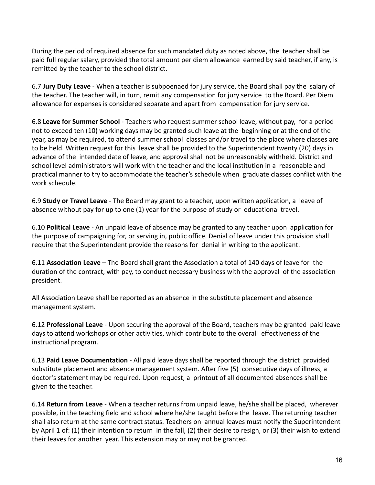During the period of required absence for such mandated duty as noted above, the teacher shall be paid full regular salary, provided the total amount per diem allowance earned by said teacher, if any, is remitted by the teacher to the school district.

6.7 **Jury Duty Leave** - When a teacher is subpoenaed for jury service, the Board shall pay the salary of the teacher. The teacher will, in turn, remit any compensation for jury service to the Board. Per Diem allowance for expenses is considered separate and apart from compensation for jury service.

6.8 **Leave for Summer School** - Teachers who request summer school leave, without pay, for a period not to exceed ten (10) working days may be granted such leave at the beginning or at the end of the year, as may be required, to attend summer school classes and/or travel to the place where classes are to be held. Written request for this leave shall be provided to the Superintendent twenty (20) days in advance of the intended date of leave, and approval shall not be unreasonably withheld. District and school level administrators will work with the teacher and the local institution in a reasonable and practical manner to try to accommodate the teacher's schedule when graduate classes conflict with the work schedule.

6.9 **Study or Travel Leave** - The Board may grant to a teacher, upon written application, a leave of absence without pay for up to one (1) year for the purpose of study or educational travel.

6.10 **Political Leave** - An unpaid leave of absence may be granted to any teacher upon application for the purpose of campaigning for, or serving in, public office. Denial of leave under this provision shall require that the Superintendent provide the reasons for denial in writing to the applicant.

6.11 **Association Leave** – The Board shall grant the Association a total of 140 days of leave for the duration of the contract, with pay, to conduct necessary business with the approval of the association president.

All Association Leave shall be reported as an absence in the substitute placement and absence management system.

6.12 **Professional Leave** - Upon securing the approval of the Board, teachers may be granted paid leave days to attend workshops or other activities, which contribute to the overall effectiveness of the instructional program.

6.13 **Paid Leave Documentation** - All paid leave days shall be reported through the district provided substitute placement and absence management system. After five (5) consecutive days of illness, a doctor's statement may be required. Upon request, a printout of all documented absences shall be given to the teacher.

6.14 **Return from Leave** - When a teacher returns from unpaid leave, he/she shall be placed, wherever possible, in the teaching field and school where he/she taught before the leave. The returning teacher shall also return at the same contract status. Teachers on annual leaves must notify the Superintendent by April 1 of: (1) their intention to return in the fall, (2) their desire to resign, or (3) their wish to extend their leaves for another year. This extension may or may not be granted.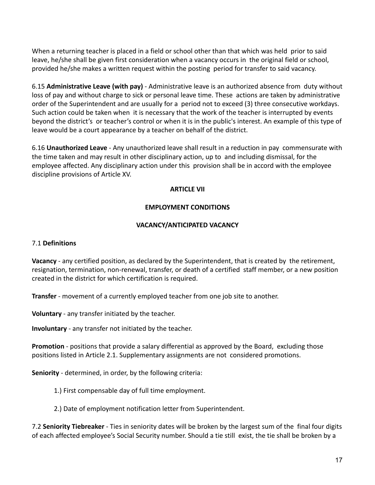When a returning teacher is placed in a field or school other than that which was held prior to said leave, he/she shall be given first consideration when a vacancy occurs in the original field or school, provided he/she makes a written request within the posting period for transfer to said vacancy.

6.15 **Administrative Leave (with pay)** - Administrative leave is an authorized absence from duty without loss of pay and without charge to sick or personal leave time. These actions are taken by administrative order of the Superintendent and are usually for a period not to exceed (3) three consecutive workdays. Such action could be taken when it is necessary that the work of the teacher is interrupted by events beyond the district's or teacher's control or when it is in the public's interest. An example of this type of leave would be a court appearance by a teacher on behalf of the district.

6.16 **Unauthorized Leave** - Any unauthorized leave shall result in a reduction in pay commensurate with the time taken and may result in other disciplinary action, up to and including dismissal, for the employee affected. Any disciplinary action under this provision shall be in accord with the employee discipline provisions of Article XV.

### **ARTICLE VII**

### **EMPLOYMENT CONDITIONS**

### **VACANCY/ANTICIPATED VACANCY**

#### 7.1 **Definitions**

**Vacancy** - any certified position, as declared by the Superintendent, that is created by the retirement, resignation, termination, non-renewal, transfer, or death of a certified staff member, or a new position created in the district for which certification is required.

**Transfer** - movement of a currently employed teacher from one job site to another.

**Voluntary** - any transfer initiated by the teacher.

**Involuntary** - any transfer not initiated by the teacher.

**Promotion** - positions that provide a salary differential as approved by the Board, excluding those positions listed in Article 2.1. Supplementary assignments are not considered promotions.

**Seniority** - determined, in order, by the following criteria:

1.) First compensable day of full time employment.

2.) Date of employment notification letter from Superintendent.

7.2 **Seniority Tiebreaker** - Ties in seniority dates will be broken by the largest sum of the final four digits of each affected employee's Social Security number. Should a tie still exist, the tie shall be broken by a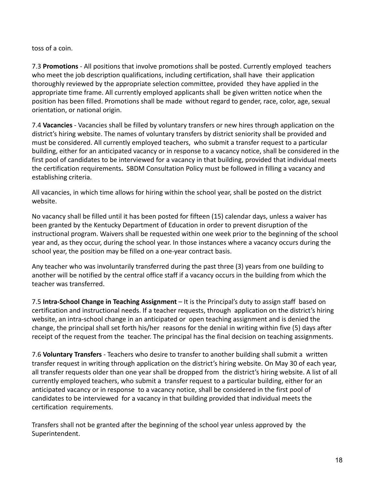toss of a coin.

7.3 **Promotions** - All positions that involve promotions shall be posted. Currently employed teachers who meet the job description qualifications, including certification, shall have their application thoroughly reviewed by the appropriate selection committee, provided they have applied in the appropriate time frame. All currently employed applicants shall be given written notice when the position has been filled. Promotions shall be made without regard to gender, race, color, age, sexual orientation, or national origin.

7.4 **Vacancies** - Vacancies shall be filled by voluntary transfers or new hires through application on the district's hiring website. The names of voluntary transfers by district seniority shall be provided and must be considered. All currently employed teachers, who submit a transfer request to a particular building, either for an anticipated vacancy or in response to a vacancy notice, shall be considered in the first pool of candidates to be interviewed for a vacancy in that building, provided that individual meets the certification requirements**.** SBDM Consultation Policy must be followed in filling a vacancy and establishing criteria.

All vacancies, in which time allows for hiring within the school year, shall be posted on the district website.

No vacancy shall be filled until it has been posted for fifteen (15) calendar days, unless a waiver has been granted by the Kentucky Department of Education in order to prevent disruption of the instructional program. Waivers shall be requested within one week prior to the beginning of the school year and, as they occur, during the school year. In those instances where a vacancy occurs during the school year, the position may be filled on a one-year contract basis.

Any teacher who was involuntarily transferred during the past three (3) years from one building to another will be notified by the central office staff if a vacancy occurs in the building from which the teacher was transferred.

7.5 **Intra-School Change in Teaching Assignment** – It is the Principal's duty to assign staff based on certification and instructional needs. If a teacher requests, through application on the district's hiring website, an intra-school change in an anticipated or open teaching assignment and is denied the change, the principal shall set forth his/her reasons for the denial in writing within five (5) days after receipt of the request from the teacher. The principal has the final decision on teaching assignments.

7.6 **Voluntary Transfers** - Teachers who desire to transfer to another building shall submit a written transfer request in writing through application on the district's hiring website. On May 30 of each year, all transfer requests older than one year shall be dropped from the district's hiring website. A list of all currently employed teachers, who submit a transfer request to a particular building, either for an anticipated vacancy or in response to a vacancy notice, shall be considered in the first pool of candidates to be interviewed for a vacancy in that building provided that individual meets the certification requirements.

Transfers shall not be granted after the beginning of the school year unless approved by the Superintendent.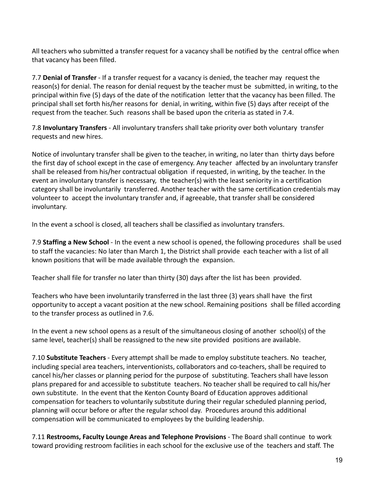All teachers who submitted a transfer request for a vacancy shall be notified by the central office when that vacancy has been filled.

7.7 **Denial of Transfer** - If a transfer request for a vacancy is denied, the teacher may request the reason(s) for denial. The reason for denial request by the teacher must be submitted, in writing, to the principal within five (5) days of the date of the notification letter that the vacancy has been filled. The principal shall set forth his/her reasons for denial, in writing, within five (5) days after receipt of the request from the teacher. Such reasons shall be based upon the criteria as stated in 7.4.

7.8 **Involuntary Transfers** - All involuntary transfers shall take priority over both voluntary transfer requests and new hires.

Notice of involuntary transfer shall be given to the teacher, in writing, no later than thirty days before the first day of school except in the case of emergency. Any teacher affected by an involuntary transfer shall be released from his/her contractual obligation if requested, in writing, by the teacher. In the event an involuntary transfer is necessary, the teacher(s) with the least seniority in a certification category shall be involuntarily transferred. Another teacher with the same certification credentials may volunteer to accept the involuntary transfer and, if agreeable, that transfer shall be considered involuntary.

In the event a school is closed, all teachers shall be classified as involuntary transfers.

7.9 **Staffing a New School** - In the event a new school is opened, the following procedures shall be used to staff the vacancies: No later than March 1, the District shall provide each teacher with a list of all known positions that will be made available through the expansion.

Teacher shall file for transfer no later than thirty (30) days after the list has been provided.

Teachers who have been involuntarily transferred in the last three (3) years shall have the first opportunity to accept a vacant position at the new school. Remaining positions shall be filled according to the transfer process as outlined in 7.6.

In the event a new school opens as a result of the simultaneous closing of another school(s) of the same level, teacher(s) shall be reassigned to the new site provided positions are available.

7.10 **Substitute Teachers** - Every attempt shall be made to employ substitute teachers. No teacher, including special area teachers, interventionists, collaborators and co-teachers, shall be required to cancel his/her classes or planning period for the purpose of substituting. Teachers shall have lesson plans prepared for and accessible to substitute teachers. No teacher shall be required to call his/her own substitute. In the event that the Kenton County Board of Education approves additional compensation for teachers to voluntarily substitute during their regular scheduled planning period, planning will occur before or after the regular school day. Procedures around this additional compensation will be communicated to employees by the building leadership.

7.11 **Restrooms, Faculty Lounge Areas and Telephone Provisions** - The Board shall continue to work toward providing restroom facilities in each school for the exclusive use of the teachers and staff. The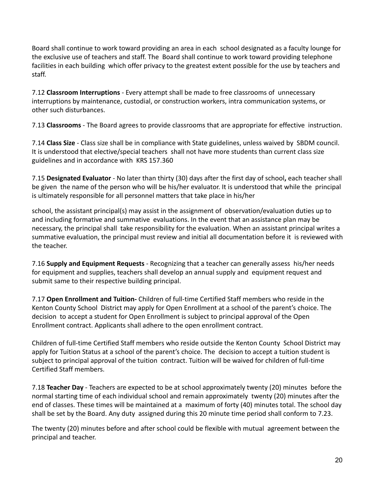Board shall continue to work toward providing an area in each school designated as a faculty lounge for the exclusive use of teachers and staff. The Board shall continue to work toward providing telephone facilities in each building which offer privacy to the greatest extent possible for the use by teachers and staff.

7.12 **Classroom Interruptions** - Every attempt shall be made to free classrooms of unnecessary interruptions by maintenance, custodial, or construction workers, intra communication systems, or other such disturbances.

7.13 **Classrooms** - The Board agrees to provide classrooms that are appropriate for effective instruction.

7.14 **Class Size** - Class size shall be in compliance with State guidelines, unless waived by SBDM council. It is understood that elective/special teachers shall not have more students than current class size guidelines and in accordance with KRS 157.360

7.15 **Designated Evaluator** - No later than thirty (30) days after the first day of school**,** each teacher shall be given the name of the person who will be his/her evaluator. It is understood that while the principal is ultimately responsible for all personnel matters that take place in his/her

school, the assistant principal(s) may assist in the assignment of observation/evaluation duties up to and including formative and summative evaluations. In the event that an assistance plan may be necessary, the principal shall take responsibility for the evaluation. When an assistant principal writes a summative evaluation, the principal must review and initial all documentation before it is reviewed with the teacher.

7.16 **Supply and Equipment Requests** - Recognizing that a teacher can generally assess his/her needs for equipment and supplies, teachers shall develop an annual supply and equipment request and submit same to their respective building principal.

7.17 **Open Enrollment and Tuition-** Children of full-time Certified Staff members who reside in the Kenton County School District may apply for Open Enrollment at a school of the parent's choice. The decision to accept a student for Open Enrollment is subject to principal approval of the Open Enrollment contract. Applicants shall adhere to the open enrollment contract.

Children of full-time Certified Staff members who reside outside the Kenton County School District may apply for Tuition Status at a school of the parent's choice. The decision to accept a tuition student is subject to principal approval of the tuition contract. Tuition will be waived for children of full-time Certified Staff members.

7.18 **Teacher Day** - Teachers are expected to be at school approximately twenty (20) minutes before the normal starting time of each individual school and remain approximately twenty (20) minutes after the end of classes. These times will be maintained at a maximum of forty (40) minutes total. The school day shall be set by the Board. Any duty assigned during this 20 minute time period shall conform to 7.23.

The twenty (20) minutes before and after school could be flexible with mutual agreement between the principal and teacher.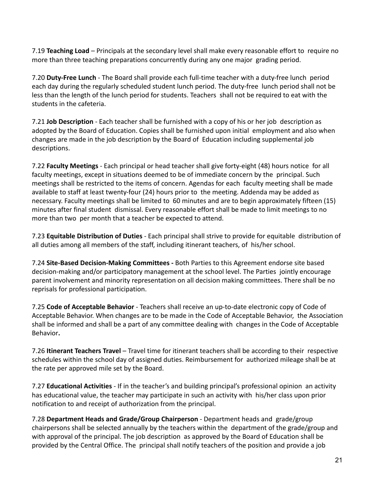7.19 **Teaching Load** – Principals at the secondary level shall make every reasonable effort to require no more than three teaching preparations concurrently during any one major grading period.

7.20 **Duty-Free Lunch** - The Board shall provide each full-time teacher with a duty-free lunch period each day during the regularly scheduled student lunch period. The duty-free lunch period shall not be less than the length of the lunch period for students. Teachers shall not be required to eat with the students in the cafeteria.

7.21 **Job Description** - Each teacher shall be furnished with a copy of his or her job description as adopted by the Board of Education. Copies shall be furnished upon initial employment and also when changes are made in the job description by the Board of Education including supplemental job descriptions.

7.22 **Faculty Meetings** - Each principal or head teacher shall give forty-eight (48) hours notice for all faculty meetings, except in situations deemed to be of immediate concern by the principal. Such meetings shall be restricted to the items of concern. Agendas for each faculty meeting shall be made available to staff at least twenty-four (24) hours prior to the meeting. Addenda may be added as necessary. Faculty meetings shall be limited to 60 minutes and are to begin approximately fifteen (15) minutes after final student dismissal. Every reasonable effort shall be made to limit meetings to no more than two per month that a teacher be expected to attend.

7.23 **Equitable Distribution of Duties** - Each principal shall strive to provide for equitable distribution of all duties among all members of the staff, including itinerant teachers, of his/her school.

7.24 **Site-Based Decision-Making Committees -** Both Parties to this Agreement endorse site based decision-making and/or participatory management at the school level. The Parties jointly encourage parent involvement and minority representation on all decision making committees. There shall be no reprisals for professional participation.

7.25 **Code of Acceptable Behavior** - Teachers shall receive an up-to-date electronic copy of Code of Acceptable Behavior. When changes are to be made in the Code of Acceptable Behavior, the Association shall be informed and shall be a part of any committee dealing with changes in the Code of Acceptable Behavior**.**

7.26 **Itinerant Teachers Travel** – Travel time for itinerant teachers shall be according to their respective schedules within the school day of assigned duties. Reimbursement for authorized mileage shall be at the rate per approved mile set by the Board.

7.27 **Educational Activities** - If in the teacher's and building principal's professional opinion an activity has educational value, the teacher may participate in such an activity with his/her class upon prior notification to and receipt of authorization from the principal.

7.28 **Department Heads and Grade/Group Chairperson** - Department heads and grade/group chairpersons shall be selected annually by the teachers within the department of the grade/group and with approval of the principal. The job description as approved by the Board of Education shall be provided by the Central Office. The principal shall notify teachers of the position and provide a job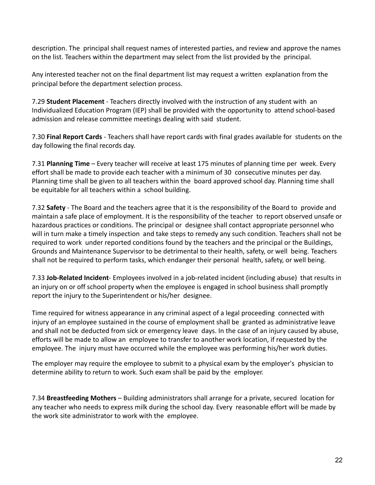description. The principal shall request names of interested parties, and review and approve the names on the list. Teachers within the department may select from the list provided by the principal.

Any interested teacher not on the final department list may request a written explanation from the principal before the department selection process.

7.29 **Student Placement** - Teachers directly involved with the instruction of any student with an Individualized Education Program (IEP) shall be provided with the opportunity to attend school-based admission and release committee meetings dealing with said student.

7.30 **Final Report Cards** - Teachers shall have report cards with final grades available for students on the day following the final records day.

7.31 **Planning Time** – Every teacher will receive at least 175 minutes of planning time per week. Every effort shall be made to provide each teacher with a minimum of 30 consecutive minutes per day. Planning time shall be given to all teachers within the board approved school day. Planning time shall be equitable for all teachers within a school building.

7.32 **Safety** - The Board and the teachers agree that it is the responsibility of the Board to provide and maintain a safe place of employment. It is the responsibility of the teacher to report observed unsafe or hazardous practices or conditions. The principal or designee shall contact appropriate personnel who will in turn make a timely inspection and take steps to remedy any such condition. Teachers shall not be required to work under reported conditions found by the teachers and the principal or the Buildings, Grounds and Maintenance Supervisor to be detrimental to their health, safety, or well being. Teachers shall not be required to perform tasks, which endanger their personal health, safety, or well being.

7.33 **Job-Related Incident**- Employees involved in a job-related incident (including abuse) that results in an injury on or off school property when the employee is engaged in school business shall promptly report the injury to the Superintendent or his/her designee.

Time required for witness appearance in any criminal aspect of a legal proceeding connected with injury of an employee sustained in the course of employment shall be granted as administrative leave and shall not be deducted from sick or emergency leave days. In the case of an injury caused by abuse, efforts will be made to allow an employee to transfer to another work location, if requested by the employee. The injury must have occurred while the employee was performing his/her work duties.

The employer may require the employee to submit to a physical exam by the employer's physician to determine ability to return to work. Such exam shall be paid by the employer.

7.34 **Breastfeeding Mothers** – Building administrators shall arrange for a private, secured location for any teacher who needs to express milk during the school day. Every reasonable effort will be made by the work site administrator to work with the employee.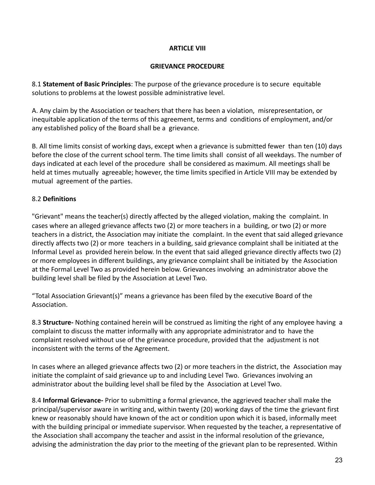### **ARTICLE VIII**

#### **GRIEVANCE PROCEDURE**

8.1 **Statement of Basic Principles**: The purpose of the grievance procedure is to secure equitable solutions to problems at the lowest possible administrative level.

A. Any claim by the Association or teachers that there has been a violation, misrepresentation, or inequitable application of the terms of this agreement, terms and conditions of employment, and/or any established policy of the Board shall be a grievance.

B. All time limits consist of working days, except when a grievance is submitted fewer than ten (10) days before the close of the current school term. The time limits shall consist of all weekdays. The number of days indicated at each level of the procedure shall be considered as maximum. All meetings shall be held at times mutually agreeable; however, the time limits specified in Article VIII may be extended by mutual agreement of the parties.

# 8.2 **Definitions**

"Grievant" means the teacher(s) directly affected by the alleged violation, making the complaint. In cases where an alleged grievance affects two (2) or more teachers in a building, or two (2) or more teachers in a district, the Association may initiate the complaint. In the event that said alleged grievance directly affects two (2) or more teachers in a building, said grievance complaint shall be initiated at the Informal Level as provided herein below. In the event that said alleged grievance directly affects two (2) or more employees in different buildings, any grievance complaint shall be initiated by the Association at the Formal Level Two as provided herein below. Grievances involving an administrator above the building level shall be filed by the Association at Level Two.

"Total Association Grievant(s)" means a grievance has been filed by the executive Board of the Association.

8.3 **Structure-** Nothing contained herein will be construed as limiting the right of any employee having a complaint to discuss the matter informally with any appropriate administrator and to have the complaint resolved without use of the grievance procedure, provided that the adjustment is not inconsistent with the terms of the Agreement.

In cases where an alleged grievance affects two (2) or more teachers in the district, the Association may initiate the complaint of said grievance up to and including Level Two. Grievances involving an administrator about the building level shall be filed by the Association at Level Two.

8.4 **Informal Grievance-** Prior to submitting a formal grievance, the aggrieved teacher shall make the principal/supervisor aware in writing and, within twenty (20) working days of the time the grievant first knew or reasonably should have known of the act or condition upon which it is based, informally meet with the building principal or immediate supervisor. When requested by the teacher, a representative of the Association shall accompany the teacher and assist in the informal resolution of the grievance, advising the administration the day prior to the meeting of the grievant plan to be represented. Within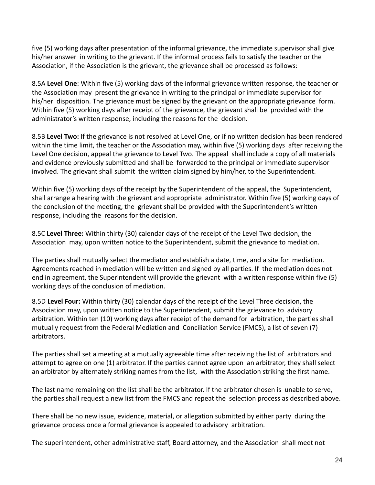five (5) working days after presentation of the informal grievance, the immediate supervisor shall give his/her answer in writing to the grievant. If the informal process fails to satisfy the teacher or the Association, if the Association is the grievant, the grievance shall be processed as follows:

8.5A **Level One**: Within five (5) working days of the informal grievance written response, the teacher or the Association may present the grievance in writing to the principal or immediate supervisor for his/her disposition. The grievance must be signed by the grievant on the appropriate grievance form. Within five (5) working days after receipt of the grievance, the grievant shall be provided with the administrator's written response, including the reasons for the decision.

8.5B **Level Two:** If the grievance is not resolved at Level One, or if no written decision has been rendered within the time limit, the teacher or the Association may, within five (5) working days after receiving the Level One decision, appeal the grievance to Level Two. The appeal shall include a copy of all materials and evidence previously submitted and shall be forwarded to the principal or immediate supervisor involved. The grievant shall submit the written claim signed by him/her, to the Superintendent.

Within five (5) working days of the receipt by the Superintendent of the appeal, the Superintendent, shall arrange a hearing with the grievant and appropriate administrator. Within five (5) working days of the conclusion of the meeting, the grievant shall be provided with the Superintendent's written response, including the reasons for the decision.

8.5C **Level Three:** Within thirty (30) calendar days of the receipt of the Level Two decision, the Association may, upon written notice to the Superintendent, submit the grievance to mediation.

The parties shall mutually select the mediator and establish a date, time, and a site for mediation. Agreements reached in mediation will be written and signed by all parties. If the mediation does not end in agreement, the Superintendent will provide the grievant with a written response within five (5) working days of the conclusion of mediation.

8.5D **Level Four:** Within thirty (30) calendar days of the receipt of the Level Three decision, the Association may, upon written notice to the Superintendent, submit the grievance to advisory arbitration. Within ten (10) working days after receipt of the demand for arbitration, the parties shall mutually request from the Federal Mediation and Conciliation Service (FMCS), a list of seven (7) arbitrators.

The parties shall set a meeting at a mutually agreeable time after receiving the list of arbitrators and attempt to agree on one (1) arbitrator. If the parties cannot agree upon an arbitrator, they shall select an arbitrator by alternately striking names from the list, with the Association striking the first name.

The last name remaining on the list shall be the arbitrator. If the arbitrator chosen is unable to serve, the parties shall request a new list from the FMCS and repeat the selection process as described above.

There shall be no new issue, evidence, material, or allegation submitted by either party during the grievance process once a formal grievance is appealed to advisory arbitration.

The superintendent, other administrative staff, Board attorney, and the Association shall meet not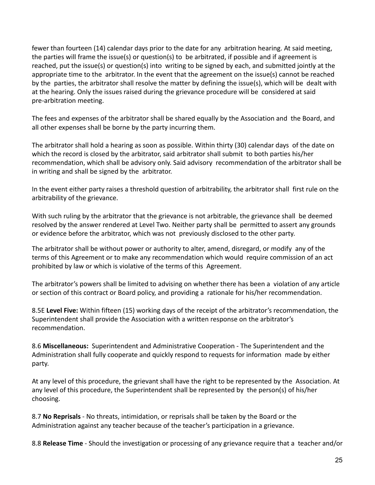fewer than fourteen (14) calendar days prior to the date for any arbitration hearing. At said meeting, the parties will frame the issue(s) or question(s) to be arbitrated, if possible and if agreement is reached, put the issue(s) or question(s) into writing to be signed by each, and submitted jointly at the appropriate time to the arbitrator. In the event that the agreement on the issue(s) cannot be reached by the parties, the arbitrator shall resolve the matter by defining the issue(s), which will be dealt with at the hearing. Only the issues raised during the grievance procedure will be considered at said pre-arbitration meeting.

The fees and expenses of the arbitrator shall be shared equally by the Association and the Board, and all other expenses shall be borne by the party incurring them.

The arbitrator shall hold a hearing as soon as possible. Within thirty (30) calendar days of the date on which the record is closed by the arbitrator, said arbitrator shall submit to both parties his/her recommendation, which shall be advisory only. Said advisory recommendation of the arbitrator shall be in writing and shall be signed by the arbitrator.

In the event either party raises a threshold question of arbitrability, the arbitrator shall first rule on the arbitrability of the grievance.

With such ruling by the arbitrator that the grievance is not arbitrable, the grievance shall be deemed resolved by the answer rendered at Level Two. Neither party shall be permitted to assert any grounds or evidence before the arbitrator, which was not previously disclosed to the other party.

The arbitrator shall be without power or authority to alter, amend, disregard, or modify any of the terms of this Agreement or to make any recommendation which would require commission of an act prohibited by law or which is violative of the terms of this Agreement.

The arbitrator's powers shall be limited to advising on whether there has been a violation of any article or section of this contract or Board policy, and providing a rationale for his/her recommendation.

8.5E **Level Five:** Within fifteen (15) working days of the receipt of the arbitrator's recommendation, the Superintendent shall provide the Association with a written response on the arbitrator's recommendation.

8.6 **Miscellaneous:** Superintendent and Administrative Cooperation - The Superintendent and the Administration shall fully cooperate and quickly respond to requests for information made by either party.

At any level of this procedure, the grievant shall have the right to be represented by the Association. At any level of this procedure, the Superintendent shall be represented by the person(s) of his/her choosing.

8.7 **No Reprisals** - No threats, intimidation, or reprisals shall be taken by the Board or the Administration against any teacher because of the teacher's participation in a grievance.

8.8 **Release Time** - Should the investigation or processing of any grievance require that a teacher and/or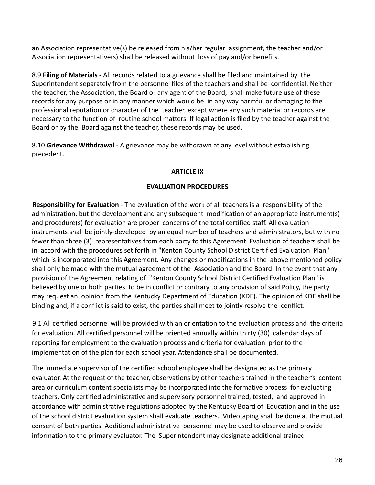an Association representative(s) be released from his/her regular assignment, the teacher and/or Association representative(s) shall be released without loss of pay and/or benefits.

8.9 **Filing of Materials** - All records related to a grievance shall be filed and maintained by the Superintendent separately from the personnel files of the teachers and shall be confidential. Neither the teacher, the Association, the Board or any agent of the Board, shall make future use of these records for any purpose or in any manner which would be in any way harmful or damaging to the professional reputation or character of the teacher, except where any such material or records are necessary to the function of routine school matters. If legal action is filed by the teacher against the Board or by the Board against the teacher, these records may be used.

8.10 **Grievance Withdrawal** - A grievance may be withdrawn at any level without establishing precedent.

# **ARTICLE IX**

# **EVALUATION PROCEDURES**

**Responsibility for Evaluation** - The evaluation of the work of all teachers is a responsibility of the administration, but the development and any subsequent modification of an appropriate instrument(s) and procedure(s) for evaluation are proper concerns of the total certified staff. All evaluation instruments shall be jointly-developed by an equal number of teachers and administrators, but with no fewer than three (3) representatives from each party to this Agreement. Evaluation of teachers shall be in accord with the procedures set forth in "Kenton County School District Certified Evaluation Plan," which is incorporated into this Agreement. Any changes or modifications in the above mentioned policy shall only be made with the mutual agreement of the Association and the Board. In the event that any provision of the Agreement relating of "Kenton County School District Certified Evaluation Plan" is believed by one or both parties to be in conflict or contrary to any provision of said Policy, the party may request an opinion from the Kentucky Department of Education (KDE). The opinion of KDE shall be binding and, if a conflict is said to exist, the parties shall meet to jointly resolve the conflict.

9.1 All certified personnel will be provided with an orientation to the evaluation process and the criteria for evaluation. All certified personnel will be oriented annually within thirty (30) calendar days of reporting for employment to the evaluation process and criteria for evaluation prior to the implementation of the plan for each school year. Attendance shall be documented.

The immediate supervisor of the certified school employee shall be designated as the primary evaluator. At the request of the teacher, observations by other teachers trained in the teacher's content area or curriculum content specialists may be incorporated into the formative process for evaluating teachers. Only certified administrative and supervisory personnel trained, tested, and approved in accordance with administrative regulations adopted by the Kentucky Board of Education and in the use of the school district evaluation system shall evaluate teachers. Videotaping shall be done at the mutual consent of both parties. Additional administrative personnel may be used to observe and provide information to the primary evaluator. The Superintendent may designate additional trained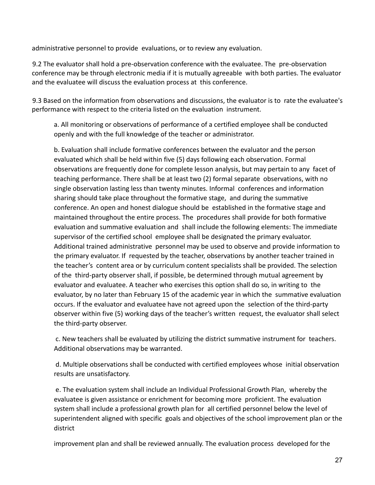administrative personnel to provide evaluations, or to review any evaluation.

9.2 The evaluator shall hold a pre-observation conference with the evaluatee. The pre-observation conference may be through electronic media if it is mutually agreeable with both parties. The evaluator and the evaluatee will discuss the evaluation process at this conference.

9.3 Based on the information from observations and discussions, the evaluator is to rate the evaluatee's performance with respect to the criteria listed on the evaluation instrument.

a. All monitoring or observations of performance of a certified employee shall be conducted openly and with the full knowledge of the teacher or administrator.

b. Evaluation shall include formative conferences between the evaluator and the person evaluated which shall be held within five (5) days following each observation. Formal observations are frequently done for complete lesson analysis, but may pertain to any facet of teaching performance. There shall be at least two (2) formal separate observations, with no single observation lasting less than twenty minutes. Informal conferences and information sharing should take place throughout the formative stage, and during the summative conference. An open and honest dialogue should be established in the formative stage and maintained throughout the entire process. The procedures shall provide for both formative evaluation and summative evaluation and shall include the following elements: The immediate supervisor of the certified school employee shall be designated the primary evaluator. Additional trained administrative personnel may be used to observe and provide information to the primary evaluator. If requested by the teacher, observations by another teacher trained in the teacher's content area or by curriculum content specialists shall be provided. The selection of the third-party observer shall, if possible, be determined through mutual agreement by evaluator and evaluatee. A teacher who exercises this option shall do so, in writing to the evaluator, by no later than February 15 of the academic year in which the summative evaluation occurs. If the evaluator and evaluatee have not agreed upon the selection of the third-party observer within five (5) working days of the teacher's written request, the evaluator shall select the third-party observer.

c. New teachers shall be evaluated by utilizing the district summative instrument for teachers. Additional observations may be warranted.

d. Multiple observations shall be conducted with certified employees whose initial observation results are unsatisfactory.

e. The evaluation system shall include an Individual Professional Growth Plan, whereby the evaluatee is given assistance or enrichment for becoming more proficient. The evaluation system shall include a professional growth plan for all certified personnel below the level of superintendent aligned with specific goals and objectives of the school improvement plan or the district

improvement plan and shall be reviewed annually. The evaluation process developed for the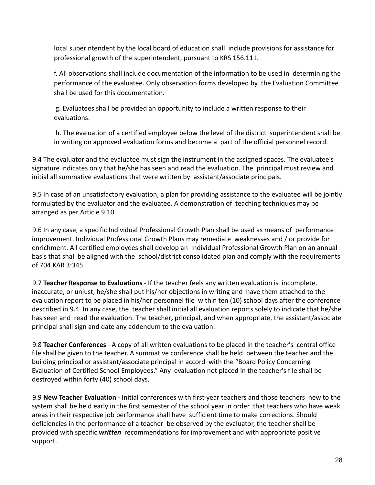local superintendent by the local board of education shall include provisions for assistance for professional growth of the superintendent, pursuant to KRS 156.111.

f. All observations shall include documentation of the information to be used in determining the performance of the evaluatee. Only observation forms developed by the Evaluation Committee shall be used for this documentation.

g. Evaluatees shall be provided an opportunity to include a written response to their evaluations.

h. The evaluation of a certified employee below the level of the district superintendent shall be in writing on approved evaluation forms and become a part of the official personnel record.

9.4 The evaluator and the evaluatee must sign the instrument in the assigned spaces. The evaluatee's signature indicates only that he/she has seen and read the evaluation. The principal must review and initial all summative evaluations that were written by assistant/associate principals.

9.5 In case of an unsatisfactory evaluation, a plan for providing assistance to the evaluatee will be jointly formulated by the evaluator and the evaluatee. A demonstration of teaching techniques may be arranged as per Article 9.10.

9.6 In any case, a specific Individual Professional Growth Plan shall be used as means of performance improvement. Individual Professional Growth Plans may remediate weaknesses and / or provide for enrichment. All certified employees shall develop an Individual Professional Growth Plan on an annual basis that shall be aligned with the school/district consolidated plan and comply with the requirements of 704 KAR 3:345.

9.7 **Teacher Response to Evaluations** - If the teacher feels any written evaluation is incomplete, inaccurate, or unjust, he/she shall put his/her objections in writing and have them attached to the evaluation report to be placed in his/her personnel file within ten (10) school days after the conference described in 9.4. In any case, the teacher shall initial all evaluation reports solely to indicate that he/she has seen and read the evaluation. The teacher**,** principal, and when appropriate, the assistant/associate principal shall sign and date any addendum to the evaluation.

9.8 **Teacher Conferences** - A copy of all written evaluations to be placed in the teacher's central office file shall be given to the teacher. A summative conference shall be held between the teacher and the building principal or assistant/associate principal in accord with the "Board Policy Concerning Evaluation of Certified School Employees." Any evaluation not placed in the teacher's file shall be destroyed within forty (40) school days.

9.9 **New Teacher Evaluation** - Initial conferences with first-year teachers and those teachers new to the system shall be held early in the first semester of the school year in order that teachers who have weak areas in their respective job performance shall have sufficient time to make corrections. Should deficiencies in the performance of a teacher be observed by the evaluator, the teacher shall be provided with specific *written* recommendations for improvement and with appropriate positive support.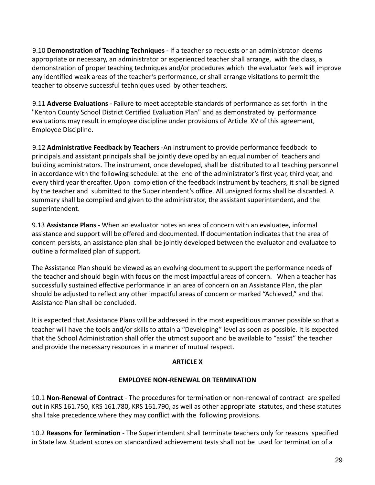9.10 **Demonstration of Teaching Techniques** - If a teacher so requests or an administrator deems appropriate or necessary, an administrator or experienced teacher shall arrange, with the class, a demonstration of proper teaching techniques and/or procedures which the evaluator feels will improve any identified weak areas of the teacher's performance, or shall arrange visitations to permit the teacher to observe successful techniques used by other teachers.

9.11 **Adverse Evaluations** - Failure to meet acceptable standards of performance as set forth in the "Kenton County School District Certified Evaluation Plan" and as demonstrated by performance evaluations may result in employee discipline under provisions of Article XV of this agreement, Employee Discipline.

9.12 **Administrative Feedback by Teachers** -An instrument to provide performance feedback to principals and assistant principals shall be jointly developed by an equal number of teachers and building administrators. The instrument, once developed, shall be distributed to all teaching personnel in accordance with the following schedule: at the end of the administrator's first year, third year, and every third year thereafter. Upon completion of the feedback instrument by teachers, it shall be signed by the teacher and submitted to the Superintendent's office. All unsigned forms shall be discarded. A summary shall be compiled and given to the administrator, the assistant superintendent, and the superintendent.

9.13 **Assistance Plans** - When an evaluator notes an area of concern with an evaluatee, informal assistance and support will be offered and documented. If documentation indicates that the area of concern persists, an assistance plan shall be jointly developed between the evaluator and evaluatee to outline a formalized plan of support.

The Assistance Plan should be viewed as an evolving document to support the performance needs of the teacher and should begin with focus on the most impactful areas of concern. When a teacher has successfully sustained effective performance in an area of concern on an Assistance Plan, the plan should be adjusted to reflect any other impactful areas of concern or marked "Achieved," and that Assistance Plan shall be concluded.

It is expected that Assistance Plans will be addressed in the most expeditious manner possible so that a teacher will have the tools and/or skills to attain a "Developing" level as soon as possible. It is expected that the School Administration shall offer the utmost support and be available to "assist" the teacher and provide the necessary resources in a manner of mutual respect.

# **ARTICLE X**

# **EMPLOYEE NON-RENEWAL OR TERMINATION**

10.1 **Non-Renewal of Contract** - The procedures for termination or non-renewal of contract are spelled out in KRS 161.750, KRS 161.780, KRS 161.790, as well as other appropriate statutes, and these statutes shall take precedence where they may conflict with the following provisions.

10.2 **Reasons for Termination** - The Superintendent shall terminate teachers only for reasons specified in State law. Student scores on standardized achievement tests shall not be used for termination of a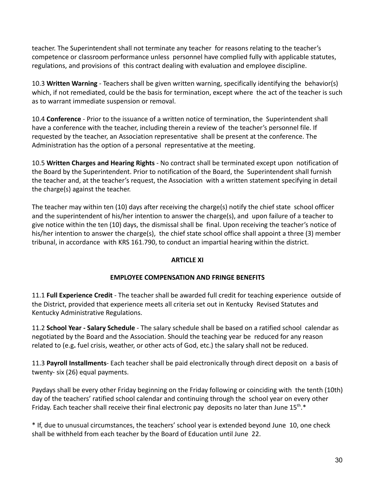teacher. The Superintendent shall not terminate any teacher for reasons relating to the teacher's competence or classroom performance unless personnel have complied fully with applicable statutes, regulations, and provisions of this contract dealing with evaluation and employee discipline.

10.3 **Written Warning** - Teachers shall be given written warning, specifically identifying the behavior(s) which, if not remediated, could be the basis for termination, except where the act of the teacher is such as to warrant immediate suspension or removal.

10.4 **Conference** - Prior to the issuance of a written notice of termination, the Superintendent shall have a conference with the teacher, including therein a review of the teacher's personnel file. If requested by the teacher, an Association representative shall be present at the conference. The Administration has the option of a personal representative at the meeting.

10.5 **Written Charges and Hearing Rights** - No contract shall be terminated except upon notification of the Board by the Superintendent. Prior to notification of the Board, the Superintendent shall furnish the teacher and, at the teacher's request, the Association with a written statement specifying in detail the charge(s) against the teacher.

The teacher may within ten (10) days after receiving the charge(s) notify the chief state school officer and the superintendent of his/her intention to answer the charge(s), and upon failure of a teacher to give notice within the ten (10) days, the dismissal shall be final. Upon receiving the teacher's notice of his/her intention to answer the charge(s), the chief state school office shall appoint a three (3) member tribunal, in accordance with KRS 161.790, to conduct an impartial hearing within the district.

# **ARTICLE XI**

# **EMPLOYEE COMPENSATION AND FRINGE BENEFITS**

11.1 **Full Experience Credit** - The teacher shall be awarded full credit for teaching experience outside of the District, provided that experience meets all criteria set out in Kentucky Revised Statutes and Kentucky Administrative Regulations.

11.2 **School Year - Salary Schedule** - The salary schedule shall be based on a ratified school calendar as negotiated by the Board and the Association. Should the teaching year be reduced for any reason related to (e.g**.** fuel crisis, weather, or other acts of God, etc.) the salary shall not be reduced.

11.3 **Payroll Installments**- Each teacher shall be paid electronically through direct deposit on a basis of twenty- six (26) equal payments.

Paydays shall be every other Friday beginning on the Friday following or coinciding with the tenth (10th) day of the teachers' ratified school calendar and continuing through the school year on every other Friday. Each teacher shall receive their final electronic pay deposits no later than June  $15^{th,*}$ 

\* If, due to unusual circumstances, the teachers' school year is extended beyond June 10, one check shall be withheld from each teacher by the Board of Education until June 22.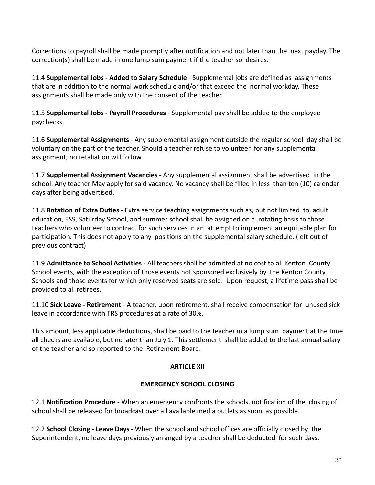Corrections to payroll shall be made promptly after notification and not later than the next payday. The correction(s) shall be made in one lump sum payment if the teacher so desires.

11.4 **Supplemental Jobs - Added to Salary Schedule** - Supplemental jobs are defined as assignments that are in addition to the normal work schedule and/or that exceed the normal workday. These assignments shall be made only with the consent of the teacher.

11.5 **Supplemental Jobs - Payroll Procedures** - Supplemental pay shall be added to the employee paychecks.

11.6 **Supplemental Assignments** - Any supplemental assignment outside the regular school day shall be voluntary on the part of the teacher. Should a teacher refuse to volunteer for any supplemental assignment, no retaliation will follow.

11.7 **Supplemental Assignment Vacancies** - Any supplemental assignment shall be advertised in the school. Any teacher May apply for said vacancy. No vacancy shall be filled in less than ten (10) calendar days after being advertised.

11.8 **Rotation of Extra Duties** - Extra service teaching assignments such as, but not limited to, adult education, ESS, Saturday School, and summer school shall be assigned on a rotating basis to those teachers who volunteer to contract for such services in an attempt to implement an equitable plan for participation. This does not apply to any positions on the supplemental salary schedule. (left out of previous contract)

11.9 **Admittance to School Activities** - All teachers shall be admitted at no cost to all Kenton County School events, with the exception of those events not sponsored exclusively by the Kenton County Schools and those events for which only reserved seats are sold. Upon request, a lifetime pass shall be provided to all retirees.

11.10 **Sick Leave - Retirement** - A teacher, upon retirement, shall receive compensation for unused sick leave in accordance with TRS procedures at a rate of 30%.

This amount, less applicable deductions, shall be paid to the teacher in a lump sum payment at the time all checks are available, but no later than July 1. This settlement shall be added to the last annual salary of the teacher and so reported to the Retirement Board.

# **ARTICLE XII**

# **EMERGENCY SCHOOL CLOSING**

12.1 **Notification Procedure** - When an emergency confronts the schools, notification of the closing of school shall be released for broadcast over all available media outlets as soon as possible.

12.2 **School Closing - Leave Days** - When the school and school offices are officially closed by the Superintendent, no leave days previously arranged by a teacher shall be deducted for such days.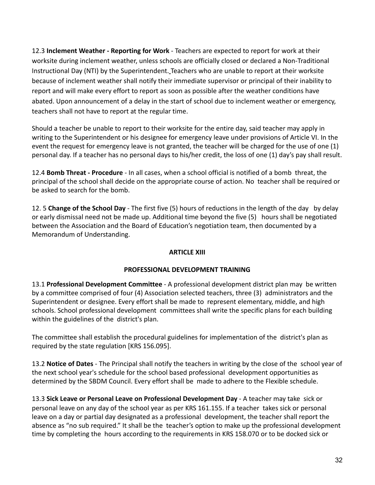12.3 **Inclement Weather - Reporting for Work** - Teachers are expected to report for work at their worksite during inclement weather, unless schools are officially closed or declared a Non-Traditional Instructional Day (NTI) by the Superintendent. Teachers who are unable to report at their worksite because of inclement weather shall notify their immediate supervisor or principal of their inability to report and will make every effort to report as soon as possible after the weather conditions have abated. Upon announcement of a delay in the start of school due to inclement weather or emergency, teachers shall not have to report at the regular time.

Should a teacher be unable to report to their worksite for the entire day, said teacher may apply in writing to the Superintendent or his designee for emergency leave under provisions of Article VI. In the event the request for emergency leave is not granted, the teacher will be charged for the use of one (1) personal day. If a teacher has no personal days to his/her credit, the loss of one (1) day's pay shall result.

12.4 **Bomb Threat - Procedure** - In all cases, when a school official is notified of a bomb threat, the principal of the school shall decide on the appropriate course of action. No teacher shall be required or be asked to search for the bomb.

12. 5 **Change of the School Day** - The first five (5) hours of reductions in the length of the day by delay or early dismissal need not be made up. Additional time beyond the five (5) hours shall be negotiated between the Association and the Board of Education's negotiation team, then documented by a Memorandum of Understanding.

# **ARTICLE XIII**

# **PROFESSIONAL DEVELOPMENT TRAINING**

13.1 **Professional Development Committee** - A professional development district plan may be written by a committee comprised of four (4) Association selected teachers, three (3) administrators and the Superintendent or designee. Every effort shall be made to represent elementary, middle, and high schools. School professional development committees shall write the specific plans for each building within the guidelines of the district's plan.

The committee shall establish the procedural guidelines for implementation of the district's plan as required by the state regulation [KRS 156.095].

13.2 **Notice of Dates** - The Principal shall notify the teachers in writing by the close of the school year of the next school year's schedule for the school based professional development opportunities as determined by the SBDM Council. Every effort shall be made to adhere to the Flexible schedule.

13.3 **Sick Leave or Personal Leave on Professional Development Day** - A teacher may take sick or personal leave on any day of the school year as per KRS 161.155. If a teacher takes sick or personal leave on a day or partial day designated as a professional development, the teacher shall report the absence as "no sub required." It shall be the teacher's option to make up the professional development time by completing the hours according to the requirements in KRS 158.070 or to be docked sick or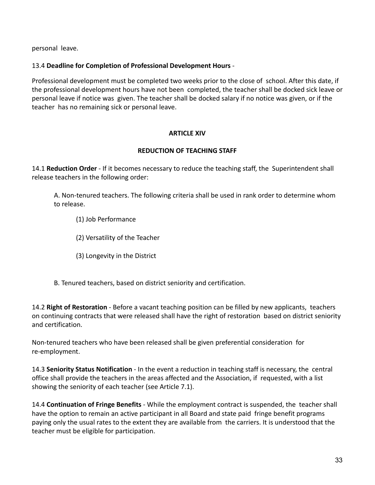personal leave.

# 13.4 **Deadline for Completion of Professional Development Hours** -

Professional development must be completed two weeks prior to the close of school. After this date, if the professional development hours have not been completed, the teacher shall be docked sick leave or personal leave if notice was given. The teacher shall be docked salary if no notice was given, or if the teacher has no remaining sick or personal leave.

# **ARTICLE XIV**

# **REDUCTION OF TEACHING STAFF**

14.1 **Reduction Order** - If it becomes necessary to reduce the teaching staff, the Superintendent shall release teachers in the following order:

A. Non-tenured teachers. The following criteria shall be used in rank order to determine whom to release.

(1) Job Performance

(2) Versatility of the Teacher

(3) Longevity in the District

B. Tenured teachers, based on district seniority and certification.

14.2 **Right of Restoration** - Before a vacant teaching position can be filled by new applicants, teachers on continuing contracts that were released shall have the right of restoration based on district seniority and certification.

Non-tenured teachers who have been released shall be given preferential consideration for re-employment.

14.3 **Seniority Status Notification** - In the event a reduction in teaching staff is necessary, the central office shall provide the teachers in the areas affected and the Association, if requested, with a list showing the seniority of each teacher (see Article 7.1).

14.4 **Continuation of Fringe Benefits** - While the employment contract is suspended, the teacher shall have the option to remain an active participant in all Board and state paid fringe benefit programs paying only the usual rates to the extent they are available from the carriers. It is understood that the teacher must be eligible for participation.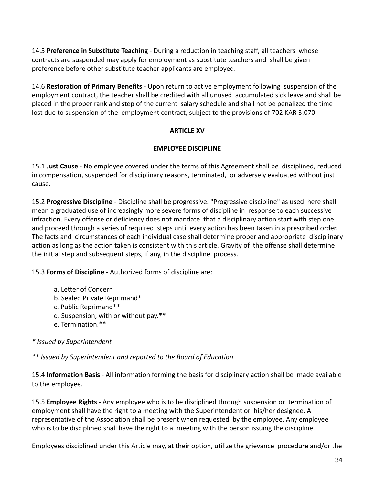14.5 **Preference in Substitute Teaching** - During a reduction in teaching staff, all teachers whose contracts are suspended may apply for employment as substitute teachers and shall be given preference before other substitute teacher applicants are employed.

14.6 **Restoration of Primary Benefits** - Upon return to active employment following suspension of the employment contract, the teacher shall be credited with all unused accumulated sick leave and shall be placed in the proper rank and step of the current salary schedule and shall not be penalized the time lost due to suspension of the employment contract, subject to the provisions of 702 KAR 3:070.

### **ARTICLE XV**

### **EMPLOYEE DISCIPLINE**

15.1 **Just Cause** - No employee covered under the terms of this Agreement shall be disciplined, reduced in compensation, suspended for disciplinary reasons, terminated, or adversely evaluated without just cause.

15.2 **Progressive Discipline** - Discipline shall be progressive. "Progressive discipline" as used here shall mean a graduated use of increasingly more severe forms of discipline in response to each successive infraction. Every offense or deficiency does not mandate that a disciplinary action start with step one and proceed through a series of required steps until every action has been taken in a prescribed order. The facts and circumstances of each individual case shall determine proper and appropriate disciplinary action as long as the action taken is consistent with this article. Gravity of the offense shall determine the initial step and subsequent steps, if any, in the discipline process.

15.3 **Forms of Discipline** - Authorized forms of discipline are:

- a. Letter of Concern
- b. Sealed Private Reprimand\*
- c. Public Reprimand\*\*
- d. Suspension, with or without pay.\*\*
- e. Termination.\*\*

*\* Issued by Superintendent*

*\*\* Issued by Superintendent and reported to the Board of Education*

15.4 **Information Basis** - All information forming the basis for disciplinary action shall be made available to the employee.

15.5 **Employee Rights** - Any employee who is to be disciplined through suspension or termination of employment shall have the right to a meeting with the Superintendent or his/her designee. A representative of the Association shall be present when requested by the employee. Any employee who is to be disciplined shall have the right to a meeting with the person issuing the discipline.

Employees disciplined under this Article may, at their option, utilize the grievance procedure and/or the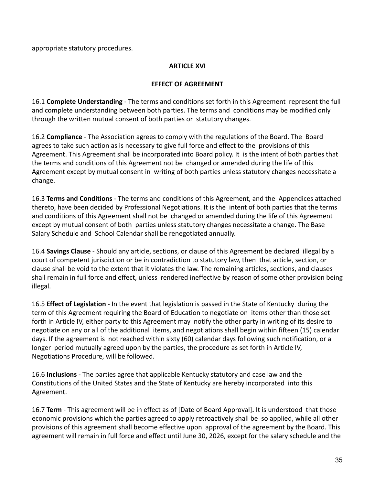appropriate statutory procedures.

# **ARTICLE XVI**

# **EFFECT OF AGREEMENT**

16.1 **Complete Understanding** - The terms and conditions set forth in this Agreement represent the full and complete understanding between both parties. The terms and conditions may be modified only through the written mutual consent of both parties or statutory changes.

16.2 **Compliance** - The Association agrees to comply with the regulations of the Board. The Board agrees to take such action as is necessary to give full force and effect to the provisions of this Agreement. This Agreement shall be incorporated into Board policy. It is the intent of both parties that the terms and conditions of this Agreement not be changed or amended during the life of this Agreement except by mutual consent in writing of both parties unless statutory changes necessitate a change.

16.3 **Terms and Conditions** - The terms and conditions of this Agreement, and the Appendices attached thereto, have been decided by Professional Negotiations. It is the intent of both parties that the terms and conditions of this Agreement shall not be changed or amended during the life of this Agreement except by mutual consent of both parties unless statutory changes necessitate a change. The Base Salary Schedule and School Calendar shall be renegotiated annually.

16.4 **Savings Clause** - Should any article, sections, or clause of this Agreement be declared illegal by a court of competent jurisdiction or be in contradiction to statutory law, then that article, section, or clause shall be void to the extent that it violates the law. The remaining articles, sections, and clauses shall remain in full force and effect, unless rendered ineffective by reason of some other provision being illegal.

16.5 **Effect of Legislation** - In the event that legislation is passed in the State of Kentucky during the term of this Agreement requiring the Board of Education to negotiate on items other than those set forth in Article IV, either party to this Agreement may notify the other party in writing of its desire to negotiate on any or all of the additional items, and negotiations shall begin within fifteen (15) calendar days. If the agreement is not reached within sixty (60) calendar days following such notification, or a longer period mutually agreed upon by the parties, the procedure as set forth in Article IV, Negotiations Procedure, will be followed.

16.6 **Inclusions** - The parties agree that applicable Kentucky statutory and case law and the Constitutions of the United States and the State of Kentucky are hereby incorporated into this Agreement.

16.7 **Term** - This agreement will be in effect as of [Date of Board Approval]**.** It is understood that those economic provisions which the parties agreed to apply retroactively shall be so applied, while all other provisions of this agreement shall become effective upon approval of the agreement by the Board. This agreement will remain in full force and effect until June 30, 2026, except for the salary schedule and the